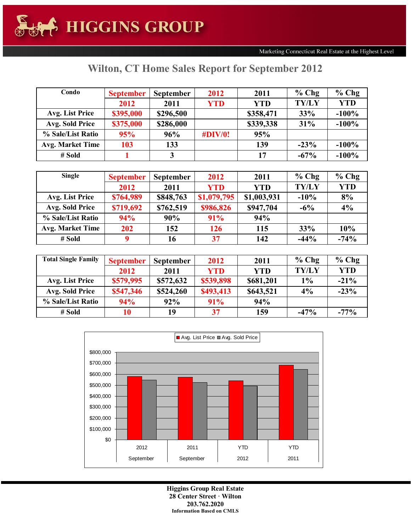| Condo                   | <b>September</b> | <b>September</b> | 2012        | 2011       | $%$ Chg      | $%$ Chg    |
|-------------------------|------------------|------------------|-------------|------------|--------------|------------|
|                         | 2012             | 2011             | <b>YTD</b>  | <b>YTD</b> | <b>TY/LY</b> | <b>YTD</b> |
| Avg. List Price         | \$395,000        | \$296,500        |             | \$358,471  | 33%          | $-100%$    |
| Avg. Sold Price         | \$375,000        | \$286,000        |             | \$339,338  | 31%          | $-100%$    |
| % Sale/List Ratio       | 95%              | 96%              | $\#$ DIV/0! | 95%        |              |            |
| <b>Avg. Market Time</b> | 103              | 133              |             | 139        | $-23%$       | $-100%$    |
| # Sold                  |                  | 3                |             | 17         | $-67%$       | $-100%$    |

## **Wilton, CT Home Sales Report for September 2012**

| <b>Single</b>           | <b>September</b> | <b>September</b> |             | 2011        | $%$ Chg      | $%$ Chg    |
|-------------------------|------------------|------------------|-------------|-------------|--------------|------------|
|                         | 2012             | 2011             | <b>YTD</b>  | YTD         | <b>TY/LY</b> | <b>YTD</b> |
| Avg. List Price         | \$764,989        | \$848,763        | \$1,079,795 | \$1,003,931 | $-10%$       | 8%         |
| Avg. Sold Price         | \$719,692        | \$762,519        | \$986,826   | \$947,704   | $-6\%$       | 4%         |
| % Sale/List Ratio       | 94%              | 90%              | 91%         | 94%         |              |            |
| <b>Avg. Market Time</b> | 202              | 152              | 126         | 115         | 33%          | 10%        |
| # Sold                  |                  | 16               | 37          | 142         | $-44%$       | $-74%$     |

| <b>Total Single Family</b> | <b>September</b> | <b>September</b> | 2012       | 2011      | $%$ Chg      | $%$ Chg    |
|----------------------------|------------------|------------------|------------|-----------|--------------|------------|
|                            | 2012             | 2011             | <b>YTD</b> | YTD       | <b>TY/LY</b> | <b>YTD</b> |
| Avg. List Price            | \$579,995        | \$572,632        | \$539,898  | \$681,201 | $1\%$        | $-21%$     |
| Avg. Sold Price            | \$547,346        | \$524,260        | \$493,413  | \$643,521 | 4%           | $-23%$     |
| % Sale/List Ratio          | 94%              | 92%              | 91%        | 94%       |              |            |
| # Sold                     | 10               | 19               | 37         | 159       | $-47%$       | $-77%$     |



**Higgins Group Real Estate 28 Center Street · Wilton 203.762.2020 Information Based on CMLS**